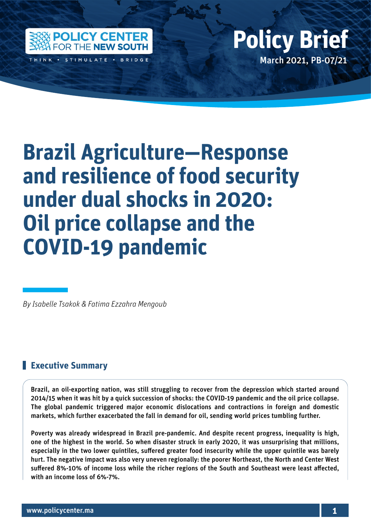

THINK · STIMULATE · BRIDGE

## Policy Center for the New South Policy British Policy British Policy British Policy British Policy British Policy March 2021, PB-07/21 **Policy Brief**

# **Brazil Agriculture—Response and resilience of food security under dual shocks in 2020: Oil price collapse and the COVID-19 pandemic**

*By Isabelle Tsakok & Fatima Ezzahra Mengoub*

#### **Executive Summary**

Brazil, an oil-exporting nation, was still struggling to recover from the depression which started around 2014/15 when it was hit by a quick succession of shocks: the COVID-19 pandemic and the oil price collapse. The global pandemic triggered major economic dislocations and contractions in foreign and domestic markets, which further exacerbated the fall in demand for oil, sending world prices tumbling further.

Poverty was already widespread in Brazil pre-pandemic. And despite recent progress, inequality is high, one of the highest in the world. So when disaster struck in early 2020, it was unsurprising that millions, especially in the two lower quintiles, suffered greater food insecurity while the upper quintile was barely hurt. The negative impact was also very uneven regionally: the poorer Northeast, the North and Center West suffered 8%-10% of income loss while the richer regions of the South and Southeast were least affected, with an income loss of 6%-7%.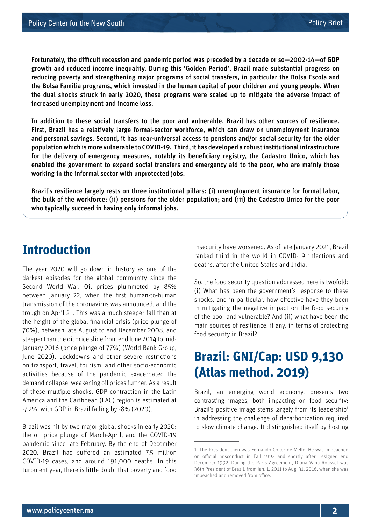Fortunately, the difficult recession and pandemic period was preceded by a decade or so—2002-14—of GDP growth and reduced income inequality. During this 'Golden Period', Brazil made substantial progress on reducing poverty and strengthening major programs of social transfers, in particular the Bolsa Escola and the Bolsa Familia programs, which invested in the human capital of poor children and young people. When the dual shocks struck in early 2020, these programs were scaled up to mitigate the adverse impact of increased unemployment and income loss.

In addition to these social transfers to the poor and vulnerable, Brazil has other sources of resilience. First, Brazil has a relatively large formal-sector workforce, which can draw on unemployment insurance and personal savings. Second, it has near-universal access to pensions and/or social security for the older population which is more vulnerable to COVID-19. Third, it has developed a robust institutional infrastructure for the delivery of emergency measures, notably its beneficiary registry, the Cadastro Unico, which has enabled the government to expand social transfers and emergency aid to the poor, who are mainly those working in the informal sector with unprotected jobs.

Brazil's resilience largely rests on three institutional pillars: (i) unemployment insurance for formal labor, the bulk of the workforce; (ii) pensions for the older population; and (iii) the Cadastro Unico for the poor who typically succeed in having only informal jobs.

## **Introduction**

The year 2020 will go down in history as one of the darkest episodes for the global community since the Second World War. Oil prices plummeted by 85% between January 22, when the first human-to-human transmission of the coronavirus was announced, and the trough on April 21. This was a much steeper fall than at the height of the global financial crisis (price plunge of 70%), between late August to end December 2008, and steeper than the oil price slide from end June 2014 to mid-January 2016 (price plunge of 77%) (World Bank Group, June 2020). Lockdowns and other severe restrictions on transport, travel, tourism, and other socio-economic activities because of the pandemic exacerbated the demand collapse, weakening oil prices further. As a result of these multiple shocks, GDP contraction in the Latin America and the Caribbean (LAC) region is estimated at -7.2%, with GDP in Brazil falling by -8% (2020).

Brazil was hit by two major global shocks in early 2020: the oil price plunge of March-April, and the COVID-19 pandemic since late February. By the end of December 2020, Brazil had suffered an estimated 7.5 million COVID-19 cases, and around 191,000 deaths. In this turbulent year, there is little doubt that poverty and food

insecurity have worsened. As of late January 2021, Brazil ranked third in the world in COVID-19 infections and deaths, after the United States and India.

So, the food security question addressed here is twofold: (i) What has been the government's response to these shocks, and in particular, how effective have they been in mitigating the negative impact on the food security of the poor and vulnerable? And (ii) what have been the main sources of resilience, if any, in terms of protecting food security in Brazil?

## **Brazil: GNI/Cap: USD 9,130 (Atlas method. 2019)**

Brazil, an emerging world economy, presents two contrasting images, both impacting on food security: Brazil's positive image stems largely from its leadership<sup>1</sup> in addressing the challenge of decarbonization required to slow climate change. It distinguished itself by hosting

<sup>1.</sup> The President then was Fernando Collor de Mello. He was impeached on official misconduct in Fall 1992 and shortly after, resigned end December 1992. During the Paris Agreement, Dilma Vana Roussef was 36th President of Brazil, from Jan. 1, 2011 to Aug. 31, 2016, when she was impeached and removed from office.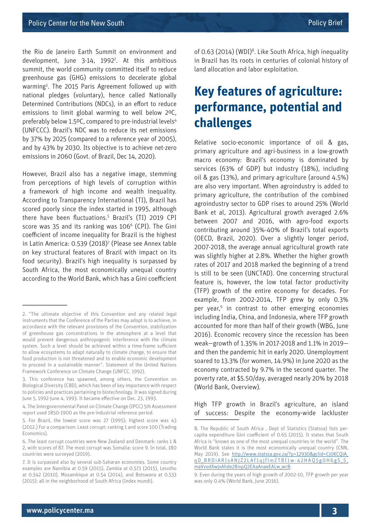the Rio de Janeiro Earth Summit on environment and development, June 3-14, 1992<sup>2</sup>. At this ambitious summit, the world community committed itself to reduce greenhouse gas (GHG) emissions to decelerate global warming<sup>3</sup>. The 2015 Paris Agreement followed up with national pledges (voluntary), hence called Nationally Determined Contributions (NDCs), in an effort to reduce emissions to limit global warming to well below 2ºC, preferably below 1.5°C, compared to pre-industrial levels<sup>4</sup> (UNFCCC). Brazil's NDC was to reduce its net emissions by 37% by 2025 (compared to a reference year of 2005), and by 43% by 2030. Its objective is to achieve net-zero emissions in 2060 (Govt. of Brazil, Dec 14, 2020).

However, Brazil also has a negative image, stemming from perceptions of high levels of corruption within a framework of high income and wealth inequality. According to Transparency International (TI), Brazil has scored poorly since the index started in 1995, although there have been fluctuations.5 Brazil's (TI) 2019 CPI score was 35 and its ranking was 106<sup>6</sup> (CPI). The Gini coefficient of income inequality for Brazil is the highest in Latin America: 0.539 (2018)7 (Please see Annex table on key structural features of Brazil with impact on its food security). Brazil's high inequality is surpassed by South Africa, the most economically unequal country according to the World Bank, which has a Gini coefficient

of 0.63 (2014) (WDI)<sup>8</sup>. Like South Africa, high inequality in Brazil has its roots in centuries of colonial history of land allocation and labor exploitation.

## **Key features of agriculture: performance, potential and challenges**

Relative socio-economic importance of oil & gas, primary agriculture and agri-business in a low-growth macro economy: Brazil's economy is dominated by services (63% of GDP) but industry (18%), including oil & gas (13%), and primary agriculture (around 4.5%) are also very important. When agroindustry is added to primary agriculture, the contribution of the combined agroindustry sector to GDP rises to around 25% (World Bank et al, 2013). Agricultural growth averaged 2.6% between 2007 and 2016, with agro-food exports contributing around 35%-40% of Brazil's total exports (OECD, Brazil, 2020). Over a slightly longer period, 2007-2018, the average annual agricultural growth rate was slightly higher at 2.8%. Whether the higher growth rates of 2017 and 2018 marked the beginning of a trend is still to be seen (UNCTAD). One concerning structural feature is, however, the low total factor productivity (TFP) growth of the entire economy for decades. For example, from 2002-2014, TFP grew by only 0.3% per year,<sup>9</sup> in contrast to other emerging economies including India, China, and Indonesia, where TFP growth accounted for more than half of their growth (WBG, June 2016). Economic recovery since the recession has been weak—growth of 1.35% in 2017-2018 and 1.1% in 2019 and then the pandemic hit in early 2020. Unemployment soared to 13.3% (for women, 14.9%) in June 2020 as the economy contracted by 9.7% in the second quarter. The poverty rate, at \$5.50/day, averaged nearly 20% by 2018 (World Bank, Overview).

High TFP growth in Brazil's agriculture, an island of success: Despite the economy-wide lackluster

<sup>2. &</sup>quot;The ultimate objective of this Convention and any related legal instruments that the Conference of the Parties may adopt is to achieve, in accordance with the relevant provisions of the Convention, stabilization of greenhouse gas concentrations in the atmosphere at a level that would prevent dangerous anthropogenic interference with the climate system. Such a level should be achieved within a time-frame sufficient to allow ecosystems to adapt naturally to climate change, to ensure that food production is not threatened and to enable economic development to proceed in a sustainable manner". Statement of the United Nations Framework Conference on Climate Change (UNFCC. 1992).

<sup>3.</sup> This conference has spawned, among others, the Convention on Biological Diversity (CBD), which has been of key importance with respect to policies and practices pertaining to biotechnology. It was signed during June 5, 1992-June 4, 1993. It became effective on Dec. 23, 1993.

<sup>4.</sup> The Intergovernmental Panel on Climate Change (IPCC) 5th Assessment report used 1850-1900 as the pre-industrial reference period.

<sup>5.</sup> For Brazil, the lowest score was 27 (1995); highest score was 43 (2012.) For a comparison: Least corrupt: ranking 1 and score 100 (Trading Economics).

<sup>6.</sup> The least corrupt countries were New Zealand and Denmark: ranks 1 & 2, with scores of 87. The most corrupt was Somalia: score 9. In total, 180 countries were surveyed (2019).

<sup>7.</sup> It is surpassed also by several sub-Saharan economies. Some country examples are Namibia at 0.59 (2015), Zambia at 0.571 (2015), Lesotho at 0.542 (2010), Mozambique at 0.54 (2014), and Botswana at 0.533 (2015): all in the neighborhood of South Africa (Index mundi).

<sup>8.</sup> The Republic of South Africa , Dept of Statistics (Statssa) lists percapita expenditure Gini coefficient of 0.65 (2015). It states that South Africa is "known as one of the most unequal countries in the world". The World Bank states it is the most economically unequal country (CNN, May 2019). See [http://www.statssa.gov.za/?p=12930&gclid=Cj0KCQiA\\_](http://www.statssa.gov.za/?p=12930&gclid=Cj0KCQiA_qD_BRDiARIsANjZ2LAf1qjflmZT8I1w-42HAQ5g0H6gS_5_maVvodXwJxAhde28ixpQ2EAaAnaeEALw_wcB) [qD\\_BRDiARIsANjZ2LAf1qjflmZT8I1w-42HAQ5g0H6gS\\_5\\_](http://www.statssa.gov.za/?p=12930&gclid=Cj0KCQiA_qD_BRDiARIsANjZ2LAf1qjflmZT8I1w-42HAQ5g0H6gS_5_maVvodXwJxAhde28ixpQ2EAaAnaeEALw_wcB) [maVvodXwJxAhde28ixpQ2EAaAnaeEALw\\_wcB](http://www.statssa.gov.za/?p=12930&gclid=Cj0KCQiA_qD_BRDiARIsANjZ2LAf1qjflmZT8I1w-42HAQ5g0H6gS_5_maVvodXwJxAhde28ixpQ2EAaAnaeEALw_wcB).

<sup>9.</sup> Even during the years of high growth of 2002-10, TFP growth per year was only 0.4% (World Bank, June 2016).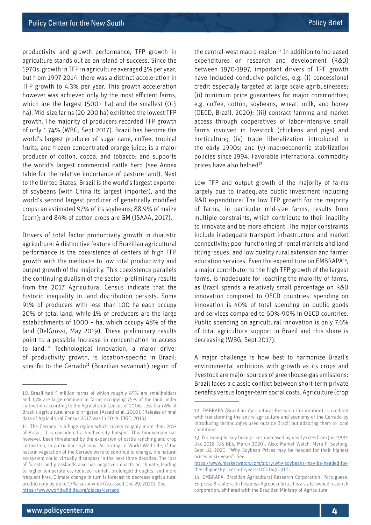productivity and growth performance, TFP growth in agriculture stands out as an island of success. Since the 1970s, growth in TFP in agriculture averaged 3% per year, but from 1997-2014, there was a distinct acceleration in TFP growth to 4.3% per year. This growth acceleration however was achieved only by the most efficient farms, which are the largest (500+ ha) and the smallest (0-5 ha). Mid-size farms (20-200 ha) exhibited the lowest TFP growth. The majority of producers recorded TFP growth of only 1.74% (WBG, Sept 2017). Brazil has become the world's largest producer of sugar cane, coffee, tropical fruits, and frozen concentrated orange juice; is a major producer of cotton, cocoa, and tobacco; and supports the world's largest commercial cattle herd (see Annex table for the relative importance of pasture land). Next to the United States, Brazil is the world's largest exporter of soybeans (with China its largest importer), and the world's second largest producer of genetically modified crops: an estimated 97% of its soybeans; 88.9% of maize (corn); and 84% of cotton crops are GM (ISAAA, 2017).

Drivers of total factor productivity growth in dualistic agriculture: A distinctive feature of Brazilian agricultural performance is the coexistence of centers of high TFP growth with the mediocre to low total productivity and output growth of the majority. This coexistence parallels the continuing dualism of the sector: preliminary results from the 2017 Agricultural Census indicate that the historic inequality in land distribution persists. Some 91% of producers with less than 100 ha each occupy 20% of total land, while 1% of producers are the large establishments of 1000 + ha, which occupy 48% of the land (DelGrossi, May 2019). These preliminary results point to a possible increase in concentration in access to land.10 Technological innovation, a major driver of productivity growth, is location-specific in Brazil: specific to the Cerrado<sup>11</sup> (Brazilian savannah) region of the central-west macro-region.12 In addition to increased expenditures on research and development (R&D) between 1970-1997, important drivers of TPF growth have included conducive policies, e.g. (i) concessional credit especially targeted at large scale agribusinesses; (ii) minimum price guarantees for major commodities; e.g. coffee, cotton, soybeans, wheat, milk, and honey (OECD, Brazil, 2020); (iii) contract farming and market access through cooperatives of labor-intensive small farms involved in livestock (chickens and pigs) and horticulture; (iv) trade liberalization introduced in the early 1990s; and (v) macroeconomic stabilization policies since 1994. Favorable international commodity prices have also helped<sup>13</sup>.

Low TFP and output growth of the majority of farms largely due to inadequate public investment including R&D expenditure: The low TFP growth for the majority of farms, in particular mid-size farms, results from multiple constraints, which contribute to their inability to innovate and be more efficient. The major constraints include inadequate transport infrastructure and market connectivity; poor functioning of rental markets and land titling issues; and low quality rural extension and farmer education services. Even the expenditure on EMBRAPA<sup>14</sup>, a major contributor to the high TFP growth of the largest farms, is inadequate for reaching the majority of farms, as Brazil spends a relatively small percentage on R&D innovation compared to OECD countries: spending on innovation is 40% of total spending on public goods and services compared to 60%-90% in OECD countries. Public spending on agricultural innovation is only 7.6% of total agriculture support in Brazil and this share is decreasing (WBG, Sept 2017).

A major challenge is how best to harmonize Brazil's environmental ambitions with growth as its crops and livestock are major sources of greenhouse-gas emissions: Brazil faces a classic conflict between short-term private benefits versus longer-term social costs. Agriculture (crop

<sup>10.</sup> Brazil had 5 million farms of which roughly 85% are smallholders and 15% are large commercial farms occupying 75% of the land under cultivation according to the Agricultural Census of 2006. Less than 4% of Brazil's agricultural area is irrigated (Assad et al, 2010); (Release of final data of Agricultural Census 2017 was in 2019. IBGE, 2019)

<sup>11.</sup> The Cerrado is a huge region which covers roughly more than 20% of Brazil. It is considered a biodiversity hotspot. This biodiversity has however, been threatened by the expansion of cattle ranching and crop cultivation, in particular soybeans. According to World Wild Life, if the natural vegetation of the Cerrado were to continue to change, the natural ecosystem could virtually disappear in the next three decades. The loss of forests and grasslands also has negative impacts on climate, leading to higher temperatures, reduced rainfall, prolonged droughts, and more frequent fires. Climate change in turn is forecast to decrease agricultural productivity by up to 17% nationwide (Accessed Dec 29, 2020). See <https://www.worldwildlife.org/places/cerrado>.

<sup>12.</sup> EMBRAPA (Brazilian Agricultural Research Corporation) is credited with transforming the entire agriculture and economy of the Cerrado by introducing technologies used outside Brazil but adapting them to local conditions.

<sup>13.</sup> For example, soy bean prices increased by nearly 62% from Jan 1999- Dec 2018 (US BLS, March 2020). Also: Market Watch. Myra P. Saefong. Sept 18, 2020. "Why Soybean Prices may be headed for their highest prices in six years". See

[https://www.marketwatch.com/story/why-soybeans-may-be-headed-for](https://www.marketwatch.com/story/why-soybeans-may-be-headed-for-their-highest-price-in-6-years-11600450312)[their-highest-price-in-6-years-11600450312](https://www.marketwatch.com/story/why-soybeans-may-be-headed-for-their-highest-price-in-6-years-11600450312).

<sup>14.</sup> EMBRAPA: Brazilian Agricultural Research Corporation. Portuguese: Empresa Brasileira de Pesquisa Agropecuária. It is a state-owned research corporation, affiliated with the Brazilian Ministry of Agriculture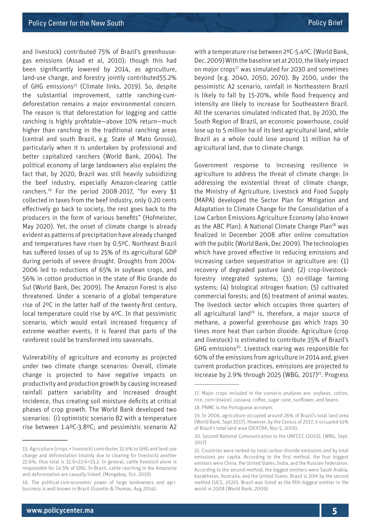and livestock) contributed 75% of Brazil's greenhousegas emissions (Assad et al, 2010); though this had been significantly lowered by 2014, as agriculture, land-use change, and forestry jointly contributed55.2% of GHG emissions<sup>15</sup> (Climate links, 2019). So, despite the substantial improvement, cattle ranching-cumdeforestation remains a major environmental concern. The reason is that deforestation for logging and cattle ranching is highly profitable—above 10% return—much higher than ranching in the traditional ranching areas (central and south Brazil, e.g. State of Mato Grosso), particularly when it is undertaken by professional and better capitalized ranchers (World Bank, 2004). The political economy of large landowners also explains the fact that, by 2020, Brazil was still heavily subsidizing the beef industry, especially Amazon-clearing cattle ranchers.16 For the period 2008-2017, "for every \$1 collected in taxes from the beef industry, only 0.20 cents effectively go back to society, the rest goes back to the producers in the form of various benefits" (Hofmeister, May 2020). Yet, the onset of climate change is already evident as patterns of precipitation have already changed and temperatures have risen by 0.5ºC. Northeast Brazil has suffered losses of up to 25% of its agricultural GDP during periods of severe drought. Droughts from 2004- 2006 led to reductions of 65% in soybean crops, and 56% in cotton production in the state of Rio Grande do Sul (World Bank, Dec 2009). The Amazon Forest is also threatened. Under a scenario of a global temperature rise of 2ºC in the latter half of the twenty-first century, local temperature could rise by 4ºC. In that pessimistic scenario, which would entail increased frequency of extreme weather events, it is feared that parts of the rainforest could be transformed into savannahs.

Vulnerability of agriculture and economy as projected under two climate change scenarios: Overall, climate change is projected to have negative impacts on productivity and production growth by causing increased rainfall pattern variability and increased drought incidence, thus creating soil moisture deficits at critical phases of crop growth. The World Bank developed two scenarios: (i) optimistic scenario B2 with a temperature rise between 1.4ºC-3.8ºC; and pessimistic scenario A2 with a temperature rise between 2ºC-5.4ºC. (World Bank, Dec. 2009) With the baseline set at 2010, the likely impact on major crops<sup>17</sup> was simulated for 2030 and sometimes beyond (e.g. 2040, 2050, 2070). By 2100, under the pessimistic A2 scenario, rainfall in Northeastern Brazil is likely to fall by 15-20%, while flood frequency and intensity are likely to increase for Southeastern Brazil. All the scenarios simulated indicated that, by 2030, the South Region of Brazil, an economic powerhouse, could lose up to 5 million ha of its best agricultural land, while Brazil as a whole could lose around 11 million ha of agricultural land, due to climate change.

Government response to increasing resilience in agriculture to address the threat of climate change: In addressing the existential threat of climate change, the Ministry of Agriculture, Livestock and Food Supply (MAPA) developed the Sector Plan for Mitigation and Adaptation to Climate Change for the Consolidation of a Low Carbon Emissions Agriculture Economy (also known as the ABC Plan). A National Climate Change Plan<sup>18</sup> was finalized in December 2008 after online consultation with the public (World Bank, Dec 2009). The technologies which have proved effective in reducing emissions and increasing carbon sequestration in agriculture are: (1) recovery of degraded pasture land; (2) crop-livestockforestry integrated systems; (3) no-tillage farming systems; (4) biological nitrogen fixation; (5) cultivated commercial forests; and (6) treatment of animal wastes. The livestock sector which occupies three quarters of all agricultural land<sup>19</sup> is, therefore, a major source of methane, a powerful greenhouse gas which traps 30 times more heat than carbon dioxide. Agriculture (crop and livestock) is estimated to contribute 35% of Brazil's GHG emissions<sup>20</sup>. Livestock rearing was responsible for 60% of the emissions from agriculture in 2014 and, given current production practices, emissions are projected to increase by 2.9% through 2025 (WBG, 2017) $^{21}$ . Progress

<sup>15.</sup> Agriculture (crops + livestock) contributes 32.6% to GHG and land-use change and deforestation (mainly due to clearing for livestock) another 22.6%; thus total is 32.6+22.6=55.2. In general, cattle livestock alone is responsible for 14.5% of GHG. In Brazil, cattle ranching in the Amazonia and deforestation are causally linked. (Mongabay, Oct. 2019)

<sup>16.</sup> The political-cum-economic power of large landowners and agribusiness is well known in Brazil (Gozetto & Thomas, Aug 2014).

<sup>17.</sup> Major crops included in the scenario analyses are: soybean, cotton, rice, corn (maize), cassava, coffee, sugar cane, sunflower, and beans.

<sup>18.</sup> PNMC is the Portuguese acronym.

<sup>19.</sup> In 2006, agriculture occupied around 26% of Brazil's total land area (World Bank, Sept 2017). However, by the Census of 2017, it occupied 41% of Brazil's total land area (DEXTRA, Nov 5, 2019).

<sup>20.</sup> Second National Communication to the UNFCCC (2010). (WBG, Sept. 2017)

<sup>21.</sup> Countries were ranked by total carbon dioxide emissions and by total emissions per capita. According to the first method, the four biggest emitters were China, the United States, India, and the Russian Federation. According to the second method, the biggest emitters were Saudi Arabia, Kazakhstan, Australia, and the United States. Brazil is 20th by the second method (UCS, 2020). Brazil was listed as the fifth biggest emitter in the world in 2008 (World Bank, 2009).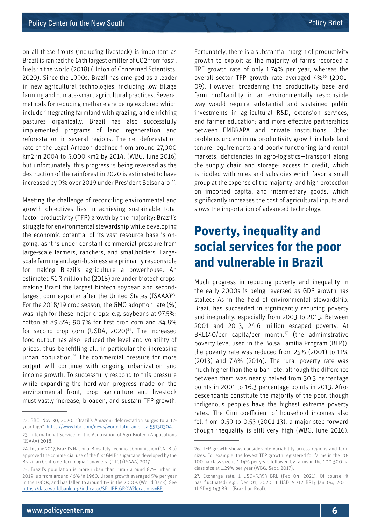on all these fronts (including livestock) is important as Brazil is ranked the 14th largest emitter of CO2 from fossil fuels in the world (2018) (Union of Concerned Scientists, 2020). Since the 1990s, Brazil has emerged as a leader in new agricultural technologies, including low tillage farming and climate-smart agricultural practices. Several methods for reducing methane are being explored which include integrating farmland with grazing, and enriching pastures organically. Brazil has also successfully implemented programs of land regeneration and reforestation in several regions. The net deforestation rate of the Legal Amazon declined from around 27,000 km2 in 2004 to 5,000 km2 by 2014, (WBG, June 2016) but unfortunately, this progress is being reversed as the destruction of the rainforest in 2020 is estimated to have increased by 9% over 2019 under President Bolsonaro<sup>22</sup>.

Meeting the challenge of reconciling environmental and growth objectives lies in achieving sustainable total factor productivity (TFP) growth by the majority: Brazil's struggle for environmental stewardship while developing the economic potential of its vast resource base is ongoing, as it is under constant commercial pressure from large-scale farmers, ranchers, and smallholders. Largescale farming and agri-business are primarily responsible for making Brazil's agriculture a powerhouse. An estimated 51.3 million ha (2018) are under biotech crops, making Brazil the largest biotech soybean and secondlargest corn exporter after the United States (ISAAA)<sup>23</sup>. For the 2018/19 crop season, the GMO adoption rate (%) was high for these major crops: e.g. soybeans at 97.5%; cotton at 89.8%; 90.7% for first crop corn and 84.8% for second crop corn (USDA,  $2020)^{24}$ . The increased food output has also reduced the level and volatility of prices, thus benefitting all, in particular the increasing urban population.25 The commercial pressure for more output will continue with ongoing urbanization and income growth. To successfully respond to this pressure while expanding the hard-won progress made on the environmental front, crop agriculture and livestock must vastly increase, broaden, and sustain TFP growth.

Fortunately, there is a substantial margin of productivity growth to exploit as the majority of farms recorded a TPF growth rate of only 1.74% per year, whereas the overall sector TFP growth rate averaged 4%26 (2001- 09). However, broadening the productivity base and farm profitability in an environmentally responsible way would require substantial and sustained public investments in agricultural R&D, extension services, and farmer education; and more effective partnerships between EMBRAPA and private institutions. Other problems undermining productivity growth include land tenure requirements and poorly functioning land rental markets; deficiencies in agro-logistics—transport along the supply chain and storage; access to credit, which is riddled with rules and subsidies which favor a small group at the expense of the majority; and high protection on imported capital and intermediary goods, which significantly increases the cost of agricultural inputs and slows the importation of advanced technology.

## **Poverty, inequality and social services for the poor and vulnerable in Brazil**

Much progress in reducing poverty and inequality in the early 2000s is being reversed as GDP growth has stalled: As in the field of environmental stewardship, Brazil has succeeded in significantly reducing poverty and inequality, especially from 2003 to 2013. Between 2001 and 2013, 24.6 million escaped poverty. At BRL140/per capita/per month, $^{27}$  (the administrative poverty level used in the Bolsa Familia Program (BFP)), the poverty rate was reduced from 25% (2001) to 11% (2013) and 7.4% (2014). The rural poverty rate was much higher than the urban rate, although the difference between them was nearly halved from 30.3 percentage points in 2001 to 16.3 percentage points in 2013. Afrodescendants constitute the majority of the poor, though indigenous peoples have the highest extreme poverty rates. The Gini coefficient of household incomes also fell from 0.59 to 0.53 (2001-13), a major step forward though inequality is still very high (WBG, June 2016).

<sup>22.</sup> BBC. Nov 30, 2020. "Brazil's Amazon: deforestation surges to a 12 year high". [https://www.bbc.com/news/world-latin-america-55130304.](https://www.bbc.com/news/world-latin-america-55130304)

<sup>23.</sup> International Service for the Acquisition of Agri-Biotech Applications (ISAAA) 2018.

<sup>24.</sup> In June 2017, Brazil's National Biosafety Technical Commission (CNTBio) approved the commercial use of the first GM Bt sugarcane developed by the Brazilian Centro de Tecnologia Canavieira (CTC) (ISAAA) 2017.

<sup>25.</sup> Brazil's population is more urban than rural: around 87% urban in 2019, up from around 46% in 1960. Urban growth averaged 5% per year in the 1960s, and has fallen to around 1% in the 2000s (World Bank). See <https://data.worldbank.org/indicator/SP.URB.GROW?locations=BR>.

<sup>26.</sup> TFP growth shows considerable variability across regions and farm sizes. For example, the lowest TFP growth registered for farms in the 20- 100 ha class size is 1.14% per year, followed by farms in the 100-500 ha class size at 1.29% per year (WBG, Sept. 2017).

<sup>27.</sup> Exchange rate: 1 USD=5.353 BRL (Feb 04, 2021). Of course, it has fluctuated; e.g., Dec 01, 2020: 1 USD=5.312 BRL; Jan 04, 2021: 1USD=5.143 BRL (Brazilian Real).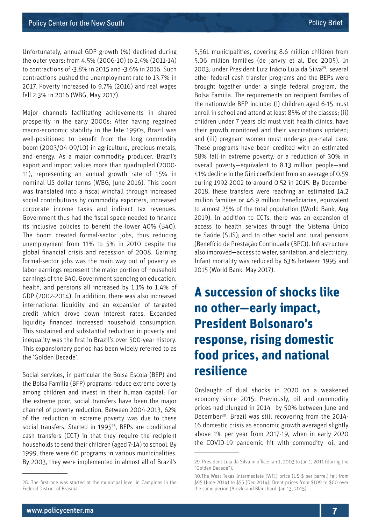Unfortunately, annual GDP growth (%) declined during the outer years: from 4.5% (2006-10) to 2.4% (2011-14) to contractions of -3.8% in 2015 and -3.6% in 2016. Such contractions pushed the unemployment rate to 13.7% in 2017. Poverty increased to 9.7% (2016) and real wages fell 2.3% in 2016 (WBG, May 2017).

Major channels facilitating achievements in shared prosperity in the early 2000s: After having regained macro-economic stability in the late 1990s, Brazil was well-positioned to benefit from the long commodity boom (2003/04-09/10) in agriculture, precious metals, and energy. As a major commodity producer, Brazil's export and import values more than quadrupled (2000- 11), representing an annual growth rate of 15% in nominal US dollar terms (WBG, June 2016). This boom was translated into a fiscal windfall through increased social contributions by commodity exporters, increased corporate income taxes and indirect tax revenues. Government thus had the fiscal space needed to finance its inclusive policies to benefit the lower 40% (B40). The boom created formal-sector jobs, thus reducing unemployment from 11% to 5% in 2010 despite the global financial crisis and recession of 2008. Gaining formal-sector jobs was the main way out of poverty as labor earnings represent the major portion of household earnings of the B40. Government spending on education, health, and pensions all increased by 1.1% to 1.4% of GDP (2002-2014). In addition, there was also increased international liquidity and an expansion of targeted credit which drove down interest rates. Expanded liquidity financed increased household consumption. This sustained and substantial reduction in poverty and inequality was the first in Brazil's over 500-year history. This expansionary period has been widely referred to as the 'Golden Decade'.

Social services, in particular the Bolsa Escola (BEP) and the Bolsa Familia (BFP) programs reduce extreme poverty among children and invest in their human capital: For the extreme poor, social transfers have been the major channel of poverty reduction. Between 2004-2013, 62% of the reduction in extreme poverty was due to these social transfers. Started in 1995<sup>28</sup>, BEPs are conditional cash transfers (CCT) in that they require the recipient households to send their children (aged 7-14) to school. By 1999, there were 60 programs in various municipalities. By 2003, they were implemented in almost all of Brazil's

5,561 municipalities, covering 8.6 million children from 5.06 million families (de Janvry et al, Dec 2005). In 2003, under President Luiz Inácio Lula da Silva<sup>29</sup>, several other federal cash transfer programs and the BEPs were brought together under a single federal program, the Bolsa Familia. The requirements on recipient families of the nationwide BFP include: (i) children aged 6-15 must enroll in school and attend at least 85% of the classes; (ii) children under 7 years old must visit health clinics, have their growth monitored and their vaccinations updated; and (iii) pregnant women must undergo pre-natal care. These programs have been credited with an estimated 58% fall in extreme poverty, or a reduction of 30% in overall poverty—equivalent to 8.13 million people—and 41% decline in the Gini coefficient from an average of 0.59 during 1992-2002 to around 0.52 in 2015. By December 2018, these transfers were reaching an estimated 14.2 million families or 46.9 million beneficiaries, equivalent to almost 25% of the total population (World Bank, Aug 2019). In addition to CCTs, there was an expansion of access to health services through the Sistema Único de Saúde (SUS); and to other social and rural pensions (Benefício de Prestação Continuada (BPC)). Infrastructure also improved—access to water, sanitation, and electricity. Infant mortality was reduced by 63% between 1995 and 2015 (World Bank, May 2017).

## **A succession of shocks like no other—early impact, President Bolsonaro's response, rising domestic food prices, and national resilience**

Onslaught of dual shocks in 2020 on a weakened economy since 2015: Previously, oil and commodity prices had plunged in 2014—by 50% between June and December30. Brazil was still recovering from the 2014- 16 domestic crisis as economic growth averaged slightly above 1% per year from 2017-19, when in early 2020 the COVID-19 pandemic hit with commodity—oil and

<sup>28.</sup> The first one was started at the municipal level in Campinas in the Federal District of Brasilia.

<sup>29.</sup> President Lula da Silva in office: Jan 1, 2003 to Jan 1, 2011 (during the "Golden Decade").

<sup>30.</sup>The West Texas Intermediate (WTI) price (US \$ per barrel) fell from \$95 (June 2014) to \$55 (Dec 2014); Brent prices from \$109 to \$60 over the same period (Arezki and Blanchard, Jan 13, 2015).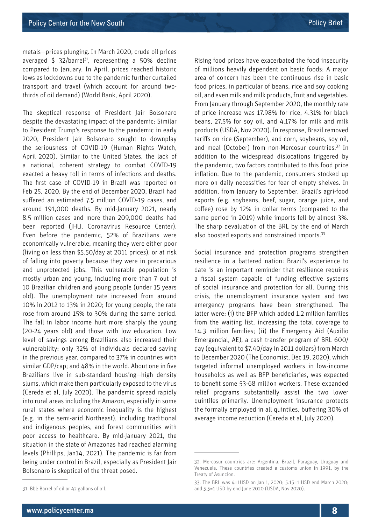metals—prices plunging. In March 2020, crude oil prices averaged  $$ 32/b$ arrel<sup>31</sup>, representing a 50% decline compared to January. In April, prices reached historic lows as lockdowns due to the pandemic further curtailed transport and travel (which account for around twothirds of oil demand) (World Bank, April 2020).

The skeptical response of President Jair Bolsonaro despite the devastating impact of the pandemic: Similar to President Trump's response to the pandemic in early 2020, President Jair Bolsonaro sought to downplay the seriousness of COVID-19 (Human Rights Watch, April 2020). Similar to the United States, the lack of a national, coherent strategy to combat COVID-19 exacted a heavy toll in terms of infections and deaths. The first case of COVID-19 in Brazil was reported on Feb 25, 2020. By the end of December 2020, Brazil had suffered an estimated 7.5 million COVID-19 cases, and around 191,000 deaths. By mid-January 2021, nearly 8.5 million cases and more than 209,000 deaths had been reported (JHU, Coronavirus Resource Center). Even before the pandemic, 52% of Brazilians were economically vulnerable, meaning they were either poor (living on less than \$5.50/day at 2011 prices), or at risk of falling into poverty because they were in precarious and unprotected jobs. This vulnerable population is mostly urban and young, including more than 7 out of 10 Brazilian children and young people (under 15 years old). The unemployment rate increased from around 10% in 2012 to 13% in 2020; for young people, the rate rose from around 15% to 30% during the same period. The fall in labor income hurt more sharply the young (20-24 years old) and those with low education. Low level of savings among Brazilians also increased their vulnerability: only 32% of individuals declared saving in the previous year, compared to 37% in countries with similar GDP/cap; and 48% in the world. About one in five Brazilians live in sub-standard housing—high density slums, which make them particularly exposed to the virus (Cereda et al, July 2020). The pandemic spread rapidly into rural areas including the Amazon, especially in some rural states where economic inequality is the highest (e.g. in the semi-arid Northeast), including traditional and indigenous peoples, and forest communities with poor access to healthcare. By mid-January 2021, the situation in the state of Amazonas had reached alarming levels (Phillips, Jan14, 2021). The pandemic is far from being under control in Brazil, especially as President Jair Bolsonaro is skeptical of the threat posed.

Rising food prices have exacerbated the food insecurity of millions heavily dependent on basic foods: A major area of concern has been the continuous rise in basic food prices, in particular of beans, rice and soy cooking oil, and even milk and milk products, fruit and vegetables. From January through September 2020, the monthly rate of price increase was 17.98% for rice, 4.31% for black beans, 27.5% for soy oil, and 4.17% for milk and milk products (USDA, Nov 2020). In response, Brazil removed tariffs on rice (September), and corn, soybeans, soy oil, and meal (October) from non-Mercosur countries.<sup>32</sup> In addition to the widespread dislocations triggered by the pandemic, two factors contributed to this food price inflation. Due to the pandemic, consumers stocked up more on daily necessities for fear of empty shelves. In addition, from January to September, Brazil's agri-food exports (e.g. soybeans, beef, sugar, orange juice, and coffee) rose by 12% in dollar terms (compared to the same period in 2019) while imports fell by almost 3%. The sharp devaluation of the BRL by the end of March also boosted exports and constrained imports.<sup>33</sup>

Social insurance and protection programs strengthen resilience in a battered nation: Brazil's experience to date is an important reminder that resilience requires a fiscal system capable of funding effective systems of social insurance and protection for all. During this crisis, the unemployment insurance system and two emergency programs have been strengthened. The latter were: (i) the BFP which added 1.2 million families from the waiting list, increasing the total coverage to 14.3 million families; (ii) the Emergency Aid (Auxilio Emergencial, AE), a cash transfer program of BRL 600/ day (equivalent to \$7.40/day in 2011 dollars) from March to December 2020 (The Economist, Dec 19, 2020), which targeted informal unemployed workers in low-income households as well as BFP beneficiaries, was expected to benefit some 53-68 million workers. These expanded relief programs substantially assist the two lower quintiles primarily. Unemployment insurance protects the formally employed in all quintiles, buffering 30% of average income reduction (Cereda et al, July 2020).

<sup>32.</sup> Mercosur countries are: Argentina, Brazil, Paraguay, Uruguay and Venezuela. These countries created a customs union in 1991, by the Treaty of Asuncion.

<sup>31.</sup> Bbl: Barrel of oil or 42 gallons of oil.

<sup>33.</sup> The BRL was 4=1USD on Jan 1, 2020; 5.15=1 USD end March 2020; and 5.5=1 USD by end June 2020 (USDA, Nov 2020).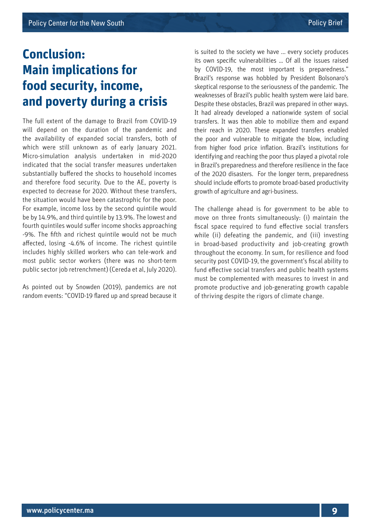## **Conclusion: Main implications for food security, income, and poverty during a crisis**

The full extent of the damage to Brazil from COVID-19 will depend on the duration of the pandemic and the availability of expanded social transfers, both of which were still unknown as of early January 2021. Micro-simulation analysis undertaken in mid-2020 indicated that the social transfer measures undertaken substantially buffered the shocks to household incomes and therefore food security. Due to the AE, poverty is expected to decrease for 2020. Without these transfers, the situation would have been catastrophic for the poor. For example, income loss by the second quintile would be by 14.9%, and third quintile by 13.9%. The lowest and fourth quintiles would suffer income shocks approaching -9%. The fifth and richest quintile would not be much affected, losing -4.6% of income. The richest quintile includes highly skilled workers who can tele-work and most public sector workers (there was no short-term public sector job retrenchment) (Cereda et al, July 2020).

As pointed out by Snowden (2019), pandemics are not random events: "COVID-19 flared up and spread because it is suited to the society we have ... every society produces its own specific vulnerabilities … Of all the issues raised by COVID-19, the most important is preparedness." Brazil's response was hobbled by President Bolsonaro's skeptical response to the seriousness of the pandemic. The weaknesses of Brazil's public health system were laid bare. Despite these obstacles, Brazil was prepared in other ways. It had already developed a nationwide system of social transfers. It was then able to mobilize them and expand their reach in 2020. These expanded transfers enabled the poor and vulnerable to mitigate the blow, including from higher food price inflation. Brazil's institutions for identifying and reaching the poor thus played a pivotal role in Brazil's preparedness and therefore resilience in the face of the 2020 disasters. For the longer term, preparedness should include efforts to promote broad-based productivity growth of agriculture and agri-business.

The challenge ahead is for government to be able to move on three fronts simultaneously: (i) maintain the fiscal space required to fund effective social transfers while (ii) defeating the pandemic, and (iii) investing in broad-based productivity and job-creating growth throughout the economy. In sum, for resilience and food security post COVID-19, the government's fiscal ability to fund effective social transfers and public health systems must be complemented with measures to invest in and promote productive and job-generating growth capable of thriving despite the rigors of climate change.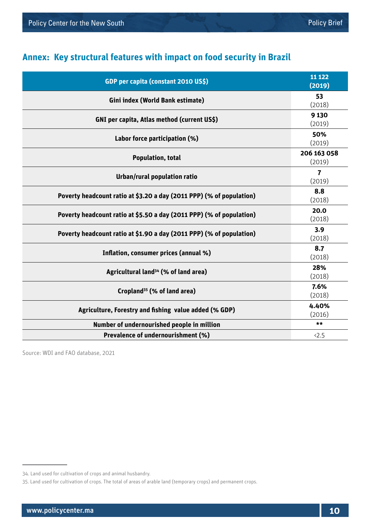### **Annex: Key structural features with impact on food security in Brazil**

| GDP per capita (constant 2010 US\$)                                  | 11 1 22<br>(2019)     |
|----------------------------------------------------------------------|-----------------------|
| Gini index (World Bank estimate)                                     | 53<br>(2018)          |
| GNI per capita, Atlas method (current US\$)                          | 9 1 3 0<br>(2019)     |
| Labor force participation (%)                                        | 50%<br>(2019)         |
| <b>Population, total</b>                                             | 206 163 058<br>(2019) |
| Urban/rural population ratio                                         | 7<br>(2019)           |
| Poverty headcount ratio at \$3.20 a day (2011 PPP) (% of population) | 8.8<br>(2018)         |
| Poverty headcount ratio at \$5.50 a day (2011 PPP) (% of population) | 20.0<br>(2018)        |
| Poverty headcount ratio at \$1.90 a day (2011 PPP) (% of population) | 3.9<br>(2018)         |
| Inflation, consumer prices (annual %)                                | 8.7<br>(2018)         |
| Agricultural land <sup>34</sup> (% of land area)                     | 28%<br>(2018)         |
| Cropland <sup>35</sup> (% of land area)                              | 7.6%<br>(2018)        |
| Agriculture, Forestry and fishing value added (% GDP)                | 4.40%<br>(2016)       |
| Number of undernourished people in million                           | $***$                 |
| Prevalence of undernourishment (%)                                   | < 2.5                 |

Source: WDI and FAO database, 2021

<sup>34.</sup> Land used for cultivation of crops and animal husbandry.

<sup>35.</sup> Land used for cultivation of crops. The total of areas of arable land (temporary crops) and permanent crops.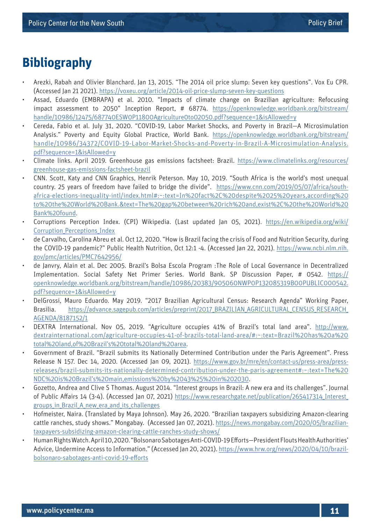## **Bibliography**

- Arezki, Rabah and Olivier Blanchard. Jan 13, 2015. "The 2014 oil price slump: Seven key questions". Vox Eu CPR. (Accessed Jan 21 2021).<https://voxeu.org/article/2014-oil-price-slump-seven-key-questions>
- Assad, Eduardo (EMBRAPA) et al. 2010. "Impacts of climate change on Brazilian agriculture: Refocusing impact assessment to 2050" Inception Report, # 68774. [https://openknowledge.worldbank.org/bitstream/](https://openknowledge.worldbank.org/bitstream/handle/10986/12475/687740ESW0P11800Agriculture0to02050.pdf?sequence=1&isAllowed=y) [handle/10986/12475/687740ESW0P11800Agriculture0to02050.pdf?sequence=1&isAllowed=y](https://openknowledge.worldbank.org/bitstream/handle/10986/12475/687740ESW0P11800Agriculture0to02050.pdf?sequence=1&isAllowed=y)
- Cereda, Fabio et al. July 31, 2020. "COVID-19, Labor Market Shocks, and Poverty in Brazil—A Microsimulation Analysis." Poverty and Equity Global Practice, World Bank. [https://openknowledge.worldbank.org/bitstream/](https://openknowledge.worldbank.org/bitstream/handle/10986/34372/COVID-19-Labor-Market-Shocks-and-Poverty-in-Brazil-A-Microsimulation-Analysis.pdf?sequence=1&isAllowed=y) [handle/10986/34372/COVID-19-Labor-Market-Shocks-and-Poverty-in-Brazil-A-Microsimulation-Analysis.](https://openknowledge.worldbank.org/bitstream/handle/10986/34372/COVID-19-Labor-Market-Shocks-and-Poverty-in-Brazil-A-Microsimulation-Analysis.pdf?sequence=1&isAllowed=y) [pdf?sequence=1&isAllowed=y](https://openknowledge.worldbank.org/bitstream/handle/10986/34372/COVID-19-Labor-Market-Shocks-and-Poverty-in-Brazil-A-Microsimulation-Analysis.pdf?sequence=1&isAllowed=y)
- Climate links. April 2019. Greenhouse gas emissions factsheet: Brazil. [https://www.climatelinks.org/resources/](https://www.climatelinks.org/resources/greenhouse-gas-emissions-factsheet-brazil) [greenhouse-gas-emissions-factsheet-brazil](https://www.climatelinks.org/resources/greenhouse-gas-emissions-factsheet-brazil)
- CNN. Scott, Katy and CNN Graphics, Henrik Peterson. May 10, 2019. "South Africa is the world's most unequal country. 25 years of freedom have failed to bridge the divide". [https://www.cnn.com/2019/05/07/africa/south](https://www.cnn.com/2019/05/07/africa/south-africa-elections-inequality-intl/index.html#:~:text=In%20fact%2C%20despite%2025%20years,according%20to%20the%20World%20Bank.&text=The%20gap%20between%20rich%20and,exist%2C%20the%20World%20Bank%20found)[africa-elections-inequality-intl/index.html#:~:text=In%20fact%2C%20despite%2025%20years,according%20](https://www.cnn.com/2019/05/07/africa/south-africa-elections-inequality-intl/index.html#:~:text=In%20fact%2C%20despite%2025%20years,according%20to%20the%20World%20Bank.&text=The%20gap%20between%20rich%20and,exist%2C%20the%20World%20Bank%20found) [to%20the%20World%20Bank.&text=The%20gap%20between%20rich%20and,exist%2C%20the%20World%20](https://www.cnn.com/2019/05/07/africa/south-africa-elections-inequality-intl/index.html#:~:text=In%20fact%2C%20despite%2025%20years,according%20to%20the%20World%20Bank.&text=The%20gap%20between%20rich%20and,exist%2C%20the%20World%20Bank%20found) [Bank%20found.](https://www.cnn.com/2019/05/07/africa/south-africa-elections-inequality-intl/index.html#:~:text=In%20fact%2C%20despite%2025%20years,according%20to%20the%20World%20Bank.&text=The%20gap%20between%20rich%20and,exist%2C%20the%20World%20Bank%20found)
- Corruptions Perception Index. (CPI) Wikipedia. (Last updated Jan 05, 2021). [https://en.wikipedia.org/wiki/](https://en.wikipedia.org/wiki/Corruption_Perceptions_Index) [Corruption\\_Perceptions\\_Index](https://en.wikipedia.org/wiki/Corruption_Perceptions_Index)
- de Carvalho, Carolina Abreu et al. Oct 12, 2020. "How is Brazil facing the crisis of Food and Nutrition Security, during the COVID-19 pandemic?" Public Health Nutrition, Oct 12:1 -4. (Accessed Jan 22, 2021). [https://www.ncbi.nlm.nih.](https://www.ncbi.nlm.nih.gov/pmc/articles/PMC7642956/) [gov/pmc/articles/PMC7642956/](https://www.ncbi.nlm.nih.gov/pmc/articles/PMC7642956/)
- de Janvry, Alain et al. Dec 2005. Brazil's Bolsa Escola Program :The Role of Local Governance in Decentralized Implementation. Social Safety Net Primer Series. World Bank. SP Discussion Paper, # 0542. [https://](https://openknowledge.worldbank.org/bitstream/handle/10986/20383/905060NWP0P132085319B00PUBLIC000542.pdf?sequence=1&isAllowed=y) [openknowledge.worldbank.org/bitstream/handle/10986/20383/905060NWP0P132085319B00PUBLIC000542.](https://openknowledge.worldbank.org/bitstream/handle/10986/20383/905060NWP0P132085319B00PUBLIC000542.pdf?sequence=1&isAllowed=y) [pdf?sequence=1&isAllowed=y](https://openknowledge.worldbank.org/bitstream/handle/10986/20383/905060NWP0P132085319B00PUBLIC000542.pdf?sequence=1&isAllowed=y)
- DelGrossi, Mauro Eduardo. May 2019. "2017 Brazilian Agricultural Census: Research Agenda" Working Paper, Brasilia. [https://advance.sagepub.com/articles/preprint/2017\\_BRAZILIAN\\_AGRICULTURAL\\_CENSUS\\_RESEARCH\\_](https://advance.sagepub.com/articles/preprint/2017_BRAZILIAN_AGRICULTURAL_CENSUS_RESEARCH_AGENDA/8187152/1) [AGENDA/8187152/1](https://advance.sagepub.com/articles/preprint/2017_BRAZILIAN_AGRICULTURAL_CENSUS_RESEARCH_AGENDA/8187152/1)
- DEXTRA International. Nov 05, 2019. "Agriculture occupies 41% of Brazil's total land area". [http://www.](http://www.dextrainternational.com/agriculture-occupies-41-of-brazils-total-land-area/#:~:text=Brazil%20has%20a%20total%20land,of%20Brazil’s%20total%20land%20area) [dextrainternational.com/agriculture-occupies-41-of-brazils-total-land-area/#:~:text=Brazil%20has%20a%20](http://www.dextrainternational.com/agriculture-occupies-41-of-brazils-total-land-area/#:~:text=Brazil%20has%20a%20total%20land,of%20Brazil’s%20total%20land%20area) [total%20land,of%20Brazil's%20total%20land%20area.](http://www.dextrainternational.com/agriculture-occupies-41-of-brazils-total-land-area/#:~:text=Brazil%20has%20a%20total%20land,of%20Brazil’s%20total%20land%20area)
- Government of Brazil. "Brazil submits its Nationally Determined Contribution under the Paris Agreement". Press Release N 157. Dec 14, 2020. (Accessed Jan 09, 2021). [https://www.gov.br/mre/en/contact-us/press-area/press](https://www.gov.br/mre/en/contact-us/press-area/press-releases/brazil-submits-its-nationally-determined-contribution-under-the-paris-agreement#:~:text=The%20NDC%20is%20Brazil’s%20main,emissions%20by%2043%25%20in%202030)[releases/brazil-submits-its-nationally-determined-contribution-under-the-paris-agreement#:~:text=The%20](https://www.gov.br/mre/en/contact-us/press-area/press-releases/brazil-submits-its-nationally-determined-contribution-under-the-paris-agreement#:~:text=The%20NDC%20is%20Brazil’s%20main,emissions%20by%2043%25%20in%202030) [NDC%20is%20Brazil's%20main,emissions%20by%2043%25%20in%202030](https://www.gov.br/mre/en/contact-us/press-area/press-releases/brazil-submits-its-nationally-determined-contribution-under-the-paris-agreement#:~:text=The%20NDC%20is%20Brazil’s%20main,emissions%20by%2043%25%20in%202030).
- Gozetto, Andrea and Clive S Thomas. August 2014. "Interest groups in Brazil: A new era and its challenges". Journal of Public Affairs 14 (3-4). (Accessed Jan 07, 2021) [https://www.researchgate.net/publication/265417314\\_Interest\\_](https://www.researchgate.net/publication/265417314_Interest_groups_in_Brazil_A_new_era_and_its_challenges) [groups\\_in\\_Brazil\\_A\\_new\\_era\\_and\\_its\\_challenges](https://www.researchgate.net/publication/265417314_Interest_groups_in_Brazil_A_new_era_and_its_challenges)
- Hofmeister, Naira. (Translated by Maya Johnson). May 26, 2020. "Brazilian taxpayers subsidizing Amazon-clearing cattle ranches, study shows." Mongabay. (Accessed Jan 07, 2021). [https://news.mongabay.com/2020/05/brazilian](https://news.mongabay.com/2020/05/brazilian-taxpayers-subsidizing-amazon-clearing-cattle-ranches-study-shows/)[taxpayers-subsidizing-amazon-clearing-cattle-ranches-study-shows/](https://news.mongabay.com/2020/05/brazilian-taxpayers-subsidizing-amazon-clearing-cattle-ranches-study-shows/)
- Human Rights Watch. April 10, 2020. "Bolsonaro Sabotages Anti-COVID-19 Efforts—President Flouts Health Authorities' Advice, Undermine Access to Information." (Accessed Jan 20, 2021). [https://www.hrw.org/news/2020/04/10/brazil](https://www.hrw.org/news/2020/04/10/brazil-bolsonaro-sabotages-anti-covid-19-efforts)[bolsonaro-sabotages-anti-covid-19-efforts](https://www.hrw.org/news/2020/04/10/brazil-bolsonaro-sabotages-anti-covid-19-efforts)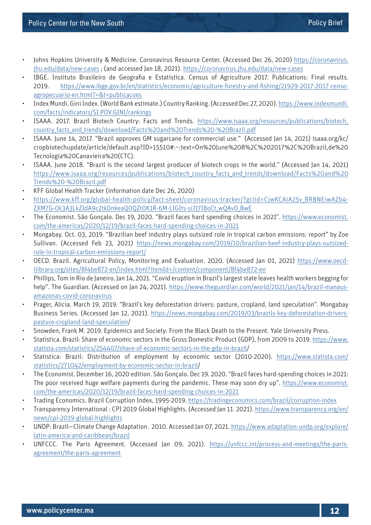- Johns Hopkins University & Medicine. Coronavirus Resource Center. (Accessed Dec 26, 2020) [https://coronavirus.](https://coronavirus.jhu.edu/data/new-cases) [jhu.edu/data/new-cases](https://coronavirus.jhu.edu/data/new-cases) ; (and accessed Jan 18, 2021).<https://coronavirus.jhu.edu/data/new-cases>
- IBGE. Instituto Brasileiro de Geografia e Estatistica. Census of Agriculture 2017. Publications: Final results. 2019. [https://www.ibge.gov.br/en/statistics/economic/agriculture-forestry-and-fishing/21929-2017-2017-censo](https://www.ibge.gov.br/en/statistics/economic/agriculture-forestry-and-fishing/21929-2017-2017-censo-agropecuario-en.html?=&t=publicacoes)[agropecuario-en.html?=&t=publicacoes](https://www.ibge.gov.br/en/statistics/economic/agriculture-forestry-and-fishing/21929-2017-2017-censo-agropecuario-en.html?=&t=publicacoes)
- Index Mundi. Gini Index. (World Bank estimate.) Country Ranking. (Accessed Dec 27, 2020). [https://www.indexmundi.](https://www.indexmundi.com/facts/indicators/SI.POV.GINI/rankings) [com/facts/indicators/SI.POV.GINI/rankings](https://www.indexmundi.com/facts/indicators/SI.POV.GINI/rankings)
- ISAAA. 2017. Brazil Biotech Country: Facts and Trends. [https://www.isaaa.org/resources/publications/biotech\\_](https://www.isaaa.org/resources/publications/biotech_country_facts_and_trends/download/Facts%20and%20Trends%20-%20Brazil.pdf) [country\\_facts\\_and\\_trends/download/Facts%20and%20Trends%20-%20Brazil.pdf](https://www.isaaa.org/resources/publications/biotech_country_facts_and_trends/download/Facts%20and%20Trends%20-%20Brazil.pdf)
- ISAAA. June 14, 2017. "Brazil approves GM sugarcane for commercial use." (Accessed Jan 14, 2021) isaaa.org/kc/ cropbiotechupdate/article/default.asp?ID=15510#:~:text=On%20June%208%2C%202017%2C%20Brazil,de%20 Tecnologia%20Canavieira%20(CTC).
- ISAAA. June 2018. "Brazil is the second largest producer of biotech crops in the world." (Accessed Jan 14, 2021) [https://www.isaaa.org/resources/publications/biotech\\_country\\_facts\\_and\\_trends/download/Facts%20and%20](https://www.isaaa.org/resources/publications/biotech_country_facts_and_trends/download/Facts%20and%20Trends%20-%20Brazil.pdf) [Trends%20-%20Brazil.pdf](https://www.isaaa.org/resources/publications/biotech_country_facts_and_trends/download/Facts%20and%20Trends%20-%20Brazil.pdf)
- KFF Global Health Tracker (information date Dec 26, 2020)
- [https://www.kff.org/global-health-policy/fact-sheet/coronavirus-tracker/?gclid=CjwKCAiA25v\\_BRBNEiwAZb4-](https://www.kff.org/global-health-policy/fact-sheet/coronavirus-tracker/?gclid=CjwKCAiA25v_BRBNEiwAZb4-ZXM7G-0k3A3LkZIdA9c2tkDnkeaQ0QZt0K1R-6M-LIGIts-si7J7IBoCt_wQAvD_BwE) ZXM7G-0k3A3LkZIdA9c2tkDnkeaQ0QZt0K1R-6M-LIGIts-si7J7IBoCt wQAvD BwE
- The Economist. São Gonçalo. Dec 19, 2020. "Brazil faces hard spending choices in 2021". [https://www.economist.](https://www.economist.com/the-americas/2020/12/19/brazil-faces-hard-spending-choices-in-2021) [com/the-americas/2020/12/19/brazil-faces-hard-spending-choices-in-2021](https://www.economist.com/the-americas/2020/12/19/brazil-faces-hard-spending-choices-in-2021)
- Mongabay. Oct. 03, 2019. "Brazilian beef industry plays outsized role in tropical carbon emissions: report" by Zoe Sullivan. (Accessed Feb 23, 2021) [https://news.mongabay.com/2019/10/brazilian-beef-industry-plays-outsized](https://news.mongabay.com/2019/10/brazilian-beef-industry-plays-outsized-role-in-tropical-carbon-emissions-report/)[role-in-tropical-carbon-emissions-report/](https://news.mongabay.com/2019/10/brazilian-beef-industry-plays-outsized-role-in-tropical-carbon-emissions-report/)
- OECD. Brazil. Agricultural Policy, Monitoring and Evaluation. 2020. (Accessed Jan 01, 2021) [https://www.oecd](https://www.oecd-ilibrary.org/sites/8f4be872-en/index.html?itemId=/content/component/8f4be872-en)[ilibrary.org/sites/8f4be872-en/index.html?itemId=/content/component/8f4be872-en](https://www.oecd-ilibrary.org/sites/8f4be872-en/index.html?itemId=/content/component/8f4be872-en)
- Phillips, Tom in Rio de Janeiro. Jan 14, 2021. "Covid eruption in Brazil's largest state leaves health workers begging for help". The Guardian. (Accessed on Jan 24, 2021). [https://www.theguardian.com/world/2021/jan/14/brazil-manaus](https://www.theguardian.com/world/2021/jan/14/brazil-manaus-amazonas-covid-coronavirus)[amazonas-covid-coronavirus](https://www.theguardian.com/world/2021/jan/14/brazil-manaus-amazonas-covid-coronavirus)
- Prager, Alicia. March 19, 2019. "Brazil's key deforestation drivers: pasture, cropland, land speculation". Mongabay Business Series. (Accessed Jan 12, 2021). [https://news.mongabay.com/2019/03/brazils-key-deforestation-drivers](https://news.mongabay.com/2019/03/brazils-key-deforestation-drivers-pasture-cropland-land-speculation)[pasture-cropland-land-speculation](https://news.mongabay.com/2019/03/brazils-key-deforestation-drivers-pasture-cropland-land-speculation)/
- Snowden, Frank M. 2019. Epidemics and Society: From the Black Death to the Present. Yale University Press.
- Statistica. Brazil: Share of economic sectors in the Gross Domestic Product (GDP), from 2009 to 2019. [https://www.](https://www.statista.com/statistics/254407/share-of-economic-sectors-in-the-gdp-in-brazil) [statista.com/statistics/254407/share-of-economic-sectors-in-the-gdp-in-brazil](https://www.statista.com/statistics/254407/share-of-economic-sectors-in-the-gdp-in-brazil)/
- Statistica: Brazil: Distribution of employment by economic sector (2010-2020). [https://www.statista.com/](https://www.statista.com/statistics/271042/employment-by-economic-sector-in-brazil) [statistics/271042/employment-by-economic-sector-in-brazil/](https://www.statista.com/statistics/271042/employment-by-economic-sector-in-brazil)
- The Economist. December 16, 2020 edition. São Gonçalo. Dec 19. 2020. "Brazil faces hard-spending choices in 2021: The poor received huge welfare payments during the pandemic. These may soon dry up". [https://www.economist.](https://www.economist.com/the-americas/2020/12/19/brazil-faces-hard-spending-choices-in-2021) [com/the-americas/2020/12/19/brazil-faces-hard-spending-choices-in-2021](https://www.economist.com/the-americas/2020/12/19/brazil-faces-hard-spending-choices-in-2021)
- Trading Economics. Brazil Corruption Index, 1995-2019.<https://tradingeconomics.com/brazil/corruption-index>
- Transparency International : CPI 2019 Global Highlights. (Accessed Jan 11. 2021). [https://www.transparency.org/en/](https://www.transparency.org/en/news/cpi-2019-global-highlights) [news/cpi-2019-global-highlights](https://www.transparency.org/en/news/cpi-2019-global-highlights)
- UNDP: Brazil—Climate Change Adaptation. 2010. Accessed Jan 07, 2021. [https://www.adaptation-undp.org/explore/](https://www.adaptation-undp.org/explore/latin-america-and-caribbean/brazil) [latin-america-and-caribbean/brazil](https://www.adaptation-undp.org/explore/latin-america-and-caribbean/brazil)
- UNFCCC. The Paris Agreement. (Accessed Jan 09, 2021). [https://unfccc.int/process-and-meetings/the-paris](https://unfccc.int/process-and-meetings/the-paris-agreement/the-paris-agreement)[agreement/the-paris-agreement](https://unfccc.int/process-and-meetings/the-paris-agreement/the-paris-agreement)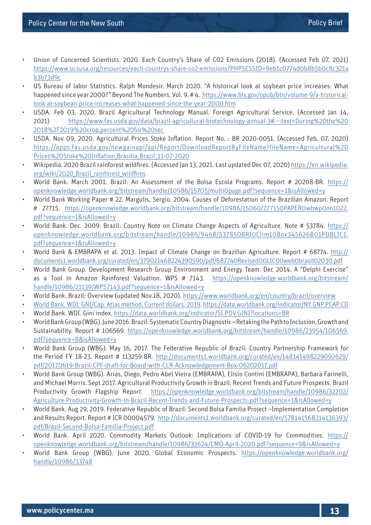- Union of Concerned Scientists. 2020. Each Country's Share of CO2 Emissions (2018). (Accessed Feb 07, 2021) [https://www.ucsusa.org/resources/each-countrys-share-co2-emissions?PHPSESSID=9eb1c0774d0b8b5b0c8c321a](https://www.ucsusa.org/resources/each-countrys-share-co2-emissions?PHPSESSID=9eb1c0774d0b8b5b0c8c321ab3b73d9c) [b3b73d9c](https://www.ucsusa.org/resources/each-countrys-share-co2-emissions?PHPSESSID=9eb1c0774d0b8b5b0c8c321ab3b73d9c)
- US Bureau of labor Statistics. Ralph Mondesir. March 2020. "A historical look at soybean price increases: What happened since year 2000?" Beyond The Numbers. Vol. 9. # 4. [https://www.bls.gov/opub/btn/volume-9/a-historical](https://www.bls.gov/opub/btn/volume-9/a-historical-look-at-soybean-price-increases-what-happened-since-the-year-2000.htm)[look-at-soybean-price-increases-what-happened-since-the-year-2000.htm](https://www.bls.gov/opub/btn/volume-9/a-historical-look-at-soybean-price-increases-what-happened-since-the-year-2000.htm)
- USDA. Feb 03, 2020. Brazil Agricultural Technology Manual. Foreign Agricultural Service. (Accessed Jan 14, 2021) [https://www.fas.usda.gov/data/brazil-agricultural-biotechnology-annual-3#:~:text=During%20the%20](https://www.fas.usda.gov/data/brazil-agricultural-biotechnology-annual-3#:~:text=During%20the%202018%2F2019%20crop,percent%20for%20sec) [2018%2F2019%20crop,percent%20for%20sec](https://www.fas.usda.gov/data/brazil-agricultural-biotechnology-annual-3#:~:text=During%20the%202018%2F2019%20crop,percent%20for%20sec)
- USDA. Nov 09, 2020. Agricultural Prices Stoke Inflation. Report No. : BR 2020-0051. (Accessed Feb. 07, 2020) [https://apps.fas.usda.gov/newgainapi/api/Report/DownloadReportByFileName?fileName=Agricultural%20](https://apps.fas.usda.gov/newgainapi/api/Report/DownloadReportByFileName?fileName=Agricultural%20Prices%20Stoke%20Inflation_Brasilia_Brazil_11-07-2020) [Prices%20Stoke%20Inflation\\_Brasilia\\_Brazil\\_11-07-2020](https://apps.fas.usda.gov/newgainapi/api/Report/DownloadReportByFileName?fileName=Agricultural%20Prices%20Stoke%20Inflation_Brasilia_Brazil_11-07-2020)
- Wikipedia. 2020 Brazil rainforest wildfires. (Accessed Jan 13, 2021. Last updated Dec 07, 2020) [https://en.wikipedia.](https://en.wikipedia.org/wiki/2020_Brazil_rainforest_wildfires) [org/wiki/2020\\_Brazil\\_rainforest\\_wildfires](https://en.wikipedia.org/wiki/2020_Brazil_rainforest_wildfires)
- World Bank. March 2001. Brazil: An Assessment of the Bolsa Escola Programs. Report # 20208-BR. [https://](https://openknowledge.worldbank.org/bitstream/handle/10986/15705/multi0page.pdf?sequence=1&isAllowed=y) [openknowledge.worldbank.org/bitstream/handle/10986/15705/multi0page.pdf?sequence=1&isAllowed=y](https://openknowledge.worldbank.org/bitstream/handle/10986/15705/multi0page.pdf?sequence=1&isAllowed=y)
- World Bank Working Paper # 22. Margulis, Sergio. 2004. Causes of Deforestation of the Brazilian Amazon. Report # 27715. [https://openknowledge.worldbank.org/bitstream/handle/10986/15060/277150PAPER0wbwp0no1022.](https://openknowledge.worldbank.org/bitstream/handle/10986/15060/277150PAPER0wbwp0no1022.pdf?sequence=1&isAllowed=y) [pdf?sequence=1&isAllowed=y](https://openknowledge.worldbank.org/bitstream/handle/10986/15060/277150PAPER0wbwp0no1022.pdf?sequence=1&isAllowed=y)
- World Bank. Dec. 2009. Brazil: Country Note on Climate Change Aspects of Agriculture. Note # 53784. [https://](https://openknowledge.worldbank.org/bitstream/handle/10986/9468/537850BRI0Clim10Box345626B01PUBLIC1.pdf?sequence=1&isAllowed=y) [openknowledge.worldbank.org/bitstream/handle/10986/9468/537850BRI0Clim10Box345626B01PUBLIC1.](https://openknowledge.worldbank.org/bitstream/handle/10986/9468/537850BRI0Clim10Box345626B01PUBLIC1.pdf?sequence=1&isAllowed=y) [pdf?sequence=1&isAllowed=y](https://openknowledge.worldbank.org/bitstream/handle/10986/9468/537850BRI0Clim10Box345626B01PUBLIC1.pdf?sequence=1&isAllowed=y)
- World Bank & EMBRAPA et al. 2013. Impact of Climate Change on Brazilian Agriculture. Report # 68774. [http://](http://documents1.worldbank.org/curated/en/379021468224390590/pdf/687740Revised00LIC00web0brasil02030.pdf) [documents1.worldbank.org/curated/en/379021468224390590/pdf/687740Revised00LIC00web0brasil02030.pdf](http://documents1.worldbank.org/curated/en/379021468224390590/pdf/687740Revised00LIC00web0brasil02030.pdf)
- World Bank Group. Development Research Group Environment and Energy Team. Dec 2014. A "Delphi Exercise" as a Tool in Amazon Rainforest Valuation. WPS # 7143. [https://openknowledge.worldbank.org/bitstream/](https://openknowledge.worldbank.org/bitstream/handle/10986/21139/WPS7143.pdf?sequence=1&isAllowed=y) [handle/10986/21139/WPS7143.pdf?sequence=1&isAllowed=y](https://openknowledge.worldbank.org/bitstream/handle/10986/21139/WPS7143.pdf?sequence=1&isAllowed=y)
- World Bank. Brazil: Overview (updated Nov.18, 2020). [https://www.worldbank.org/en/country/brazil/overview](https://www.worldbank.org/en/country/brazil/overview World Bank. WDI. GNI/Cap. Atlas method. Current dollars. 2019)
- [World Bank. WDI. GNI/Cap. Atlas method. Current dollars. 2019](https://www.worldbank.org/en/country/brazil/overview World Bank. WDI. GNI/Cap. Atlas method. Current dollars. 2019).<https://data.worldbank.org/indicator/NY.GNP.PCAP.CD>
- World Bank. WDI. Gini index.<https://data.worldbank.org/indicator/SI.POV.GINI?locations=BR>
- World Bank Group (WBG). June 2016. Brazil: Systematic Country Diagnostic—Retaking the Path to Inclusion, Growth and Sustainability. Report # 106569. [https://openknowledge.worldbank.org/bitstream/handle/10986/23954/106569.](https://openknowledge.worldbank.org/bitstream/handle/10986/23954/106569.pdf?sequence=8&isAllowed=y) [pdf?sequence=8&isAllowed=y](https://openknowledge.worldbank.org/bitstream/handle/10986/23954/106569.pdf?sequence=8&isAllowed=y)
- World Bank Group (WBG). May 16, 2017. The Federative Republic of Brazil: Country Partnership Framework for the Period FY 18-23. Report # 113259-BR. [http://documents1.worldbank.org/curated/en/148141498229092629/](http://documents1.worldbank.org/curated/en/148141498229092629/pdf/20170619-Brazil-CPF-draft-for-Board-with-CLR-Acknowledgement-Box-06202017.pdf) [pdf/20170619-Brazil-CPF-draft-for-Board-with-CLR-Acknowledgement-Box-06202017.pdf](http://documents1.worldbank.org/curated/en/148141498229092629/pdf/20170619-Brazil-CPF-draft-for-Board-with-CLR-Acknowledgement-Box-06202017.pdf)
- World Bank Group (WBG). Arias, Diego, Pedro Abel Vieira (EMBRAPA), Elisio Contini (EMBRAPA), Barbara Farinelli, and Michael Morris. Sept 2017. Agricultural Productivity Growth in Brazil: Recent Trends and Future Prospects. Brazil Productivity Growth Flagship Report. [https://openknowledge.worldbank.org/bitstream/handle/10986/32202/](https://openknowledge.worldbank.org/bitstream/handle/10986/32202/Agriculture-Productivity-Growth-in-Brazil-Recent-Trends-and-Future-Prospects.pdf?sequence=1&isAllowed=y) [Agriculture-Productivity-Growth-in-Brazil-Recent-Trends-and-Future-Prospects.pdf?sequence=1&isAllowed=y](https://openknowledge.worldbank.org/bitstream/handle/10986/32202/Agriculture-Productivity-Growth-in-Brazil-Recent-Trends-and-Future-Prospects.pdf?sequence=1&isAllowed=y)
- World Bank. Aug 29, 2019. Federative Republic of Brazil: Second Bolsa Familia Project –Implementation Completion and Results Report. Report # ICR 00004579. [http://documents1.worldbank.org/curated/en/578141568314136393/](http://documents1.worldbank.org/curated/en/578141568314136393/pdf/Brazil-Second-Bolsa-Familia-Project.pdf) [pdf/Brazil-Second-Bolsa-Familia-Project.pdf](http://documents1.worldbank.org/curated/en/578141568314136393/pdf/Brazil-Second-Bolsa-Familia-Project.pdf)
- World Bank. April 2020. Commodity Markets Outlook: Implications of COVID-19 for Commodities. [https://](https://openknowledge.worldbank.org/bitstream/handle/10986/33624/CMO-April-2020.pdf?sequence=9&isAllowed=y) [openknowledge.worldbank.org/bitstream/handle/10986/33624/CMO-April-2020.pdf?sequence=9&isAllowed=y](https://openknowledge.worldbank.org/bitstream/handle/10986/33624/CMO-April-2020.pdf?sequence=9&isAllowed=y)
- World Bank Group (WBG). June 2020. Global Economic Prospects. [https://openknowledge.worldbank.org/](https://openknowledge.worldbank.org/handle/10986/33748) [handle/10986/33748](https://openknowledge.worldbank.org/handle/10986/33748)